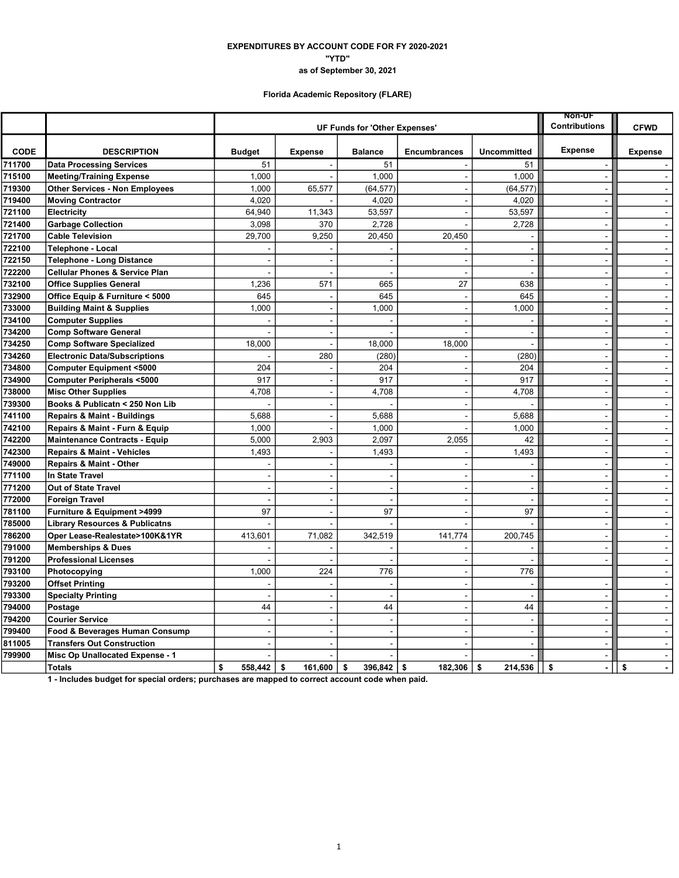### EXPENDITURES BY ACCOUNT CODE FOR FY 2020-2021 "YTD" as of September 30, 2021

# Florida Academic Repository (FLARE)

|                  |                                                                  |               |                                      | <b>Non-UF</b>        |                          |                          |                          |                          |
|------------------|------------------------------------------------------------------|---------------|--------------------------------------|----------------------|--------------------------|--------------------------|--------------------------|--------------------------|
|                  |                                                                  |               | <b>UF Funds for 'Other Expenses'</b> | <b>Contributions</b> | <b>CFWD</b>              |                          |                          |                          |
| CODE             | <b>DESCRIPTION</b>                                               | <b>Budget</b> | <b>Expense</b>                       | <b>Balance</b>       | <b>Encumbrances</b>      | <b>Uncommitted</b>       | <b>Expense</b>           | <b>Expense</b>           |
| 711700           | <b>Data Processing Services</b>                                  | 51            |                                      | 51                   |                          | 51                       |                          |                          |
| 715100           | <b>Meeting/Training Expense</b>                                  | 1,000         |                                      | 1,000                | $\sim$                   | 1,000                    |                          | $\sim$                   |
| 719300           | <b>Other Services - Non Employees</b>                            | 1,000         | 65,577                               | (64, 577)            | ÷.                       | (64, 577)                | ÷                        | $\sim$                   |
| 719400           | <b>Moving Contractor</b>                                         | 4.020         |                                      | 4,020                |                          | 4,020                    |                          | $\sim$                   |
| 721100           | Electricity                                                      | 64,940        | 11,343                               | 53,597               |                          | 53,597                   | $\blacksquare$           | $\omega$                 |
| 721400           | <b>Garbage Collection</b>                                        | 3,098         | 370                                  | 2,728                | $\overline{a}$           | 2,728                    | $\blacksquare$           | $\sim$                   |
| 721700           | <b>Cable Television</b>                                          | 29,700        | 9,250                                | 20,450               | 20,450                   |                          | $\overline{a}$           | $\blacksquare$           |
| 722100           | Telephone - Local                                                |               |                                      |                      |                          | $\sim$                   | $\blacksquare$           | $\sim$                   |
| 722150           | <b>Telephone - Long Distance</b>                                 |               |                                      | $\overline{a}$       | $\sim$                   | $\sim$                   | $\sim$                   | $\sim$                   |
| 722200           | <b>Cellular Phones &amp; Service Plan</b>                        |               | J.                                   | $\overline{a}$       | $\sim$                   | ÷,                       | $\blacksquare$           | $\mathbb{R}^2$           |
| 732100           | <b>Office Supplies General</b>                                   | 1,236         | 571                                  | 665                  | 27                       | 638                      | $\overline{a}$           | $\sim$                   |
| 732900<br>733000 | Office Equip & Furniture < 5000                                  | 645           |                                      | 645                  | $\overline{\phantom{a}}$ | 645                      | $\blacksquare$           | $\sim$                   |
| 734100           | <b>Building Maint &amp; Supplies</b>                             | 1,000         | $\blacksquare$                       | 1,000                | $\blacksquare$           | 1,000                    | $\ddot{\phantom{a}}$     | $\blacksquare$<br>$\sim$ |
| 734200           | <b>Computer Supplies</b>                                         |               | J.<br>$\sim$                         |                      | ÷.                       | $\sim$                   | $\blacksquare$<br>$\sim$ |                          |
| 734250           | <b>Comp Software General</b><br><b>Comp Software Specialized</b> | 18,000        | J.                                   | 18,000               | 18,000                   | $\overline{a}$           | $\blacksquare$           | $\sim$<br>$\sim$         |
| 734260           | <b>Electronic Data/Subscriptions</b>                             |               | 280                                  | (280)                |                          | (280)                    |                          | $\sim$                   |
| 734800           | <b>Computer Equipment &lt;5000</b>                               | 204           |                                      | 204                  |                          | 204                      | $\overline{\phantom{a}}$ | $\sim$                   |
| 734900           | <b>Computer Peripherals &lt;5000</b>                             | 917           | J.                                   | 917                  | $\overline{\phantom{a}}$ | 917                      |                          | $\sim$                   |
| 738000           | <b>Misc Other Supplies</b>                                       | 4,708         | $\blacksquare$                       | 4,708                | $\blacksquare$           | 4,708                    | $\blacksquare$           | $\sim$                   |
| 739300           | Books & Publicatn < 250 Non Lib                                  |               | ÷                                    |                      | $\overline{a}$           |                          | $\overline{a}$           | $\sim$                   |
| 741100           | <b>Repairs &amp; Maint - Buildings</b>                           | 5,688         | ÷,                                   | 5,688                | $\overline{a}$           | 5,688                    | $\blacksquare$           | $\mathbf{u}$             |
| 742100           | Repairs & Maint - Furn & Equip                                   | 1,000         |                                      | 1,000                |                          | 1,000                    | $\sim$                   | $\blacksquare$           |
| 742200           | <b>Maintenance Contracts - Equip</b>                             | 5,000         | 2,903                                | 2,097                | 2,055                    | 42                       | $\sim$                   | $\sim$                   |
| 742300           | <b>Repairs &amp; Maint - Vehicles</b>                            | 1,493         |                                      | 1,493                |                          | 1,493                    | $\blacksquare$           | $\sim$                   |
| 749000           | Repairs & Maint - Other                                          |               |                                      |                      |                          | ÷.                       | $\overline{a}$           | $\sim$                   |
| 771100           | <b>In State Travel</b>                                           | $\sim$        | $\sim$                               | $\blacksquare$       | $\sim$                   | $\sim$                   | $\sim$                   | $\sim$                   |
| 771200           | <b>Out of State Travel</b>                                       |               | ÷.                                   | $\overline{a}$       | $\sim$                   | $\overline{\phantom{a}}$ | $\overline{a}$           | $\sim$                   |
| 772000           | Foreign Travel                                                   |               | J.                                   |                      |                          | $\overline{\phantom{a}}$ |                          | $\sim$                   |
| 781100           | Furniture & Equipment >4999                                      | 97            | ÷.                                   | 97                   | $\overline{\phantom{a}}$ | 97                       | $\sim$                   | $\sim$                   |
| 785000           | <b>Library Resources &amp; Publicatns</b>                        |               |                                      |                      |                          |                          |                          | $\blacksquare$           |
| 786200           | Oper Lease-Realestate>100K&1YR                                   | 413,601       | 71,082                               | 342,519              | 141,774                  | 200,745                  | $\sim$                   | $\sim$                   |
| 791000           | <b>Memberships &amp; Dues</b>                                    |               |                                      |                      |                          | $\overline{\phantom{a}}$ | $\blacksquare$           | $\sim$                   |
| 791200           | <b>Professional Licenses</b>                                     |               | L.                                   | $\sim$               | $\sim$                   | $\overline{\phantom{a}}$ | $\sim$                   | $\sim$                   |
| 793100           | Photocopying                                                     | 1,000         | 224                                  | 776                  |                          | 776                      |                          | $\sim$                   |
| 793200           | <b>Offset Printing</b>                                           |               |                                      |                      |                          | $\sim$                   | $\sim$                   | $\sim$                   |
| 793300           | <b>Specialty Printing</b>                                        |               |                                      |                      |                          |                          |                          | $\blacksquare$           |
| 794000           | Postage                                                          | 44            | $\overline{\phantom{a}}$             | 44                   | $\blacksquare$           | 44                       | $\sim$                   | $\sim$                   |
| 794200           | <b>Courier Service</b>                                           | $\sim$        | $\sim$                               | $\sim$               | $\sim$                   | $\overline{a}$           | $\overline{\phantom{a}}$ | $\sim$                   |
| 799400           | Food & Beverages Human Consump                                   |               | J.                                   | $\overline{a}$       | ÷.                       | $\overline{\phantom{a}}$ | $\sim$                   | $\sim$                   |
| 811005           | <b>Transfers Out Construction</b>                                |               |                                      |                      |                          | $\overline{a}$           |                          | $\mathbf{r}$             |
| 799900           | Misc Op Unallocated Expense - 1                                  |               |                                      |                      |                          |                          | $\overline{a}$           | $\sim$                   |
|                  | <b>Totals</b>                                                    | \$<br>558,442 | \$<br>161,600                        | \$<br>396,842        | \$<br>182,306            | 214,536<br>\$            | \$<br>$\blacksquare$     | \$<br>$\blacksquare$     |

1 - Includes budget for special orders; purchases are mapped to correct account code when paid.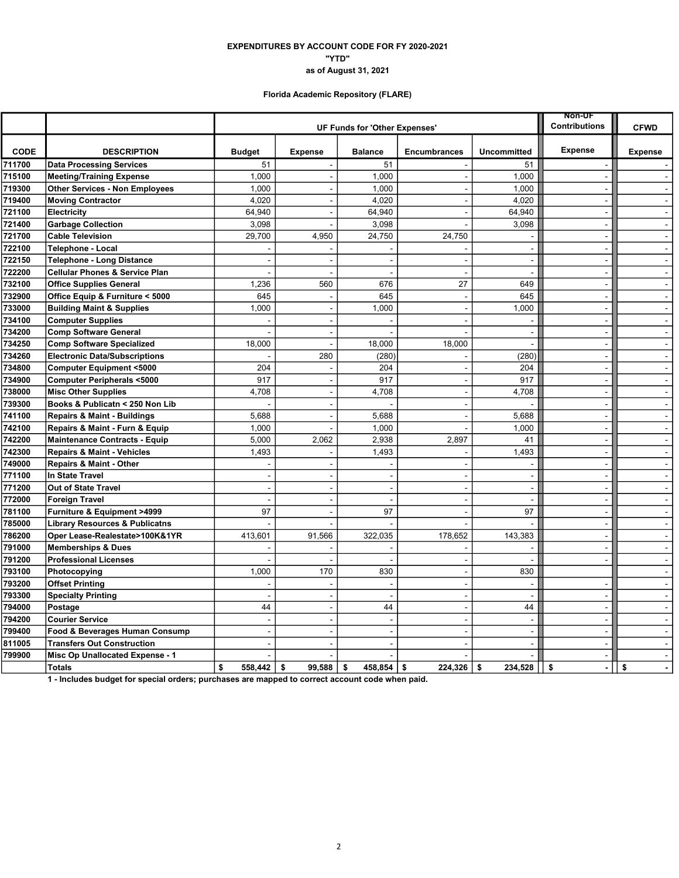### "YTD" EXPENDITURES BY ACCOUNT CODE FOR FY 2020-2021 as of August 31, 2021

# Florida Academic Repository (FLARE)

|             |                                           | <b>Non-UF</b><br><b>UF Funds for 'Other Expenses'</b> |                          |                      |                          |                          |                      |                             |  |  |
|-------------|-------------------------------------------|-------------------------------------------------------|--------------------------|----------------------|--------------------------|--------------------------|----------------------|-----------------------------|--|--|
|             |                                           |                                                       |                          | <b>Contributions</b> | <b>CFWD</b>              |                          |                      |                             |  |  |
| <b>CODE</b> | <b>DESCRIPTION</b>                        | <b>Budget</b>                                         | <b>Expense</b>           | <b>Balance</b>       | <b>Encumbrances</b>      | <b>Uncommitted</b>       | Expense              | <b>Expense</b>              |  |  |
| 711700      | <b>Data Processing Services</b>           | 51                                                    |                          | 51                   |                          | 51                       |                      |                             |  |  |
| 715100      | <b>Meeting/Training Expense</b>           | 1,000                                                 | $\overline{\phantom{a}}$ | 1,000                |                          | 1,000                    | $\overline{a}$       | $\sim$                      |  |  |
| 719300      | <b>Other Services - Non Employees</b>     | 1,000                                                 | $\sim$                   | 1,000                |                          | 1,000                    | $\blacksquare$       | $\sim$                      |  |  |
| 719400      | <b>Moving Contractor</b>                  | 4,020                                                 | $\blacksquare$           | 4,020                |                          | 4,020                    | $\blacksquare$       | $\sim$                      |  |  |
| 721100      | Electricity                               | 64,940                                                | $\overline{a}$           | 64,940               |                          | 64,940                   | ÷,                   | $\sim$                      |  |  |
| 721400      | <b>Garbage Collection</b>                 | 3,098                                                 |                          | 3,098                |                          | 3,098                    | $\blacksquare$       | $\sim$                      |  |  |
| 721700      | <b>Cable Television</b>                   | 29,700                                                | 4,950                    | 24,750               | 24,750                   |                          | $\sim$               | $\sim$                      |  |  |
| 722100      | Telephone - Local                         |                                                       |                          |                      |                          | $\blacksquare$           | $\blacksquare$       | $\blacksquare$              |  |  |
| 722150      | <b>Telephone - Long Distance</b>          |                                                       |                          |                      |                          | $\overline{\phantom{a}}$ | $\blacksquare$       | $\sim$                      |  |  |
| 722200      | <b>Cellular Phones &amp; Service Plan</b> |                                                       |                          | $\sim$               | $\sim$                   | $\sim$                   | $\sim$               | $\sim$                      |  |  |
| 732100      | <b>Office Supplies General</b>            | 1,236                                                 | 560                      | 676                  | 27                       | 649                      | $\blacksquare$       | $\sim$                      |  |  |
| 732900      | Office Equip & Furniture < 5000           | 645                                                   |                          | 645                  | $\sim$                   | 645                      | $\sim$               | $\sim$                      |  |  |
| 733000      | <b>Building Maint &amp; Supplies</b>      | 1,000                                                 | $\blacksquare$           | 1,000                | $\blacksquare$           | 1,000                    | $\blacksquare$       | $\mathbf{r}$                |  |  |
| 734100      | <b>Computer Supplies</b>                  |                                                       | $\blacksquare$           |                      |                          | ÷,                       | $\overline{a}$       | $\blacksquare$              |  |  |
| 734200      | <b>Comp Software General</b>              |                                                       | $\blacksquare$           |                      |                          | $\sim$                   | $\blacksquare$       | $\sim$                      |  |  |
| 734250      | <b>Comp Software Specialized</b>          | 18,000                                                | J.                       | 18,000               | 18,000                   | $\overline{\phantom{a}}$ | $\sim$               | $\sim$                      |  |  |
| 734260      | <b>Electronic Data/Subscriptions</b>      |                                                       | 280                      | (280)                |                          | (280)                    | ÷,                   | $\mathcal{L}^{\mathcal{A}}$ |  |  |
| 734800      | <b>Computer Equipment &lt;5000</b>        | 204                                                   |                          | 204                  |                          | 204                      | $\sim$               | $\sim$                      |  |  |
| 734900      | <b>Computer Peripherals &lt;5000</b>      | 917                                                   | $\overline{a}$           | 917                  | ÷.                       | 917                      | $\overline{a}$       | $\mathbf{r}$                |  |  |
| 738000      | <b>Misc Other Supplies</b>                | 4,708                                                 | $\blacksquare$           | 4,708                | $\blacksquare$           | 4,708                    | $\blacksquare$       | $\blacksquare$              |  |  |
| 739300      | Books & Publicatn < 250 Non Lib           |                                                       | $\overline{\phantom{a}}$ |                      | $\overline{a}$           |                          | $\sim$               | $\sim$                      |  |  |
| 741100      | Repairs & Maint - Buildings               | 5,688                                                 | $\sim$                   | 5,688                | $\sim$                   | 5,688                    | $\sim$               | $\sim$                      |  |  |
| 742100      | Repairs & Maint - Furn & Equip            | 1,000                                                 |                          | 1,000                |                          | 1,000                    | $\blacksquare$       | $\blacksquare$              |  |  |
| 742200      | <b>Maintenance Contracts - Equip</b>      | 5,000                                                 | 2,062                    | 2,938                | 2,897                    | 41                       | $\sim$               | $\sim$                      |  |  |
| 742300      | <b>Repairs &amp; Maint - Vehicles</b>     | 1,493                                                 |                          | 1,493                |                          | 1,493                    | $\blacksquare$       | $\sim$                      |  |  |
| 749000      | Repairs & Maint - Other                   |                                                       |                          |                      |                          |                          | $\blacksquare$       | $\sim$                      |  |  |
| 771100      | <b>In State Travel</b>                    |                                                       | $\sim$                   | ÷                    | $\sim$                   | $\sim$                   | $\sim$               | $\sim$                      |  |  |
| 771200      | Out of State Travel                       |                                                       | ÷,                       | $\blacksquare$       |                          | $\sim$                   | $\blacksquare$       | $\sim$                      |  |  |
| 772000      | <b>Foreign Travel</b>                     |                                                       | $\overline{a}$           | $\overline{a}$       |                          | $\overline{\phantom{a}}$ | $\blacksquare$       | $\sim$                      |  |  |
| 781100      | Furniture & Equipment >4999               | 97                                                    | $\overline{\phantom{a}}$ | 97                   | $\overline{\phantom{a}}$ | 97                       | $\blacksquare$       | $\sim$                      |  |  |
| 785000      | <b>Library Resources &amp; Publicatns</b> |                                                       |                          |                      |                          |                          | $\sim$               | $\sim$                      |  |  |
| 786200      | Oper Lease-Realestate>100K&1YR            | 413,601                                               | 91,566                   | 322,035              | 178,652                  | 143,383                  | $\blacksquare$       | $\bullet$                   |  |  |
| 791000      | <b>Memberships &amp; Dues</b>             |                                                       |                          |                      |                          | $\overline{\phantom{a}}$ | $\blacksquare$       | $\sim$                      |  |  |
| 791200      | <b>Professional Licenses</b>              |                                                       |                          | $\blacksquare$       | $\sim$                   | $\sim$                   | $\blacksquare$       | $\sim$                      |  |  |
| 793100      | Photocopying                              | 1,000                                                 | 170                      | 830                  |                          | 830                      |                      | $\sim$                      |  |  |
| 793200      | <b>Offset Printing</b>                    |                                                       |                          | $\overline{a}$       | ÷.                       | ÷.                       | $\blacksquare$       | $\sim$                      |  |  |
| 793300      | <b>Specialty Printing</b>                 |                                                       | $\blacksquare$           | $\blacksquare$       | $\sim$                   | $\overline{\phantom{a}}$ | $\overline{a}$       | $\blacksquare$              |  |  |
| 794000      | Postage                                   | 44                                                    | $\ddot{\phantom{a}}$     | 44                   | $\overline{\phantom{a}}$ | 44                       | $\blacksquare$       | $\blacksquare$              |  |  |
| 794200      | <b>Courier Service</b>                    |                                                       | $\overline{\phantom{a}}$ | $\blacksquare$       | $\sim$                   | $\sim$                   | $\blacksquare$       | $\sim$                      |  |  |
| 799400      | Food & Beverages Human Consump            |                                                       | ÷                        | $\sim$               | ÷.                       | $\sim$                   | $\sim$               | $\sim$                      |  |  |
| 811005      | <b>Transfers Out Construction</b>         |                                                       |                          |                      |                          | Ĭ.                       | $\sim$               | $\sim$                      |  |  |
| 799900      | Misc Op Unallocated Expense - 1           |                                                       |                          |                      |                          | ÷.                       | $\blacksquare$       | $\sim$                      |  |  |
|             | <b>Totals</b>                             | \$<br>558,442                                         | \$<br>99,588             | \$<br>458,854        | \$<br>224,326            | \$<br>234,528            | \$<br>$\overline{a}$ | \$<br>$\blacksquare$        |  |  |
|             |                                           |                                                       |                          |                      |                          |                          |                      |                             |  |  |

1 - Includes budget for special orders; purchases are mapped to correct account code when paid.